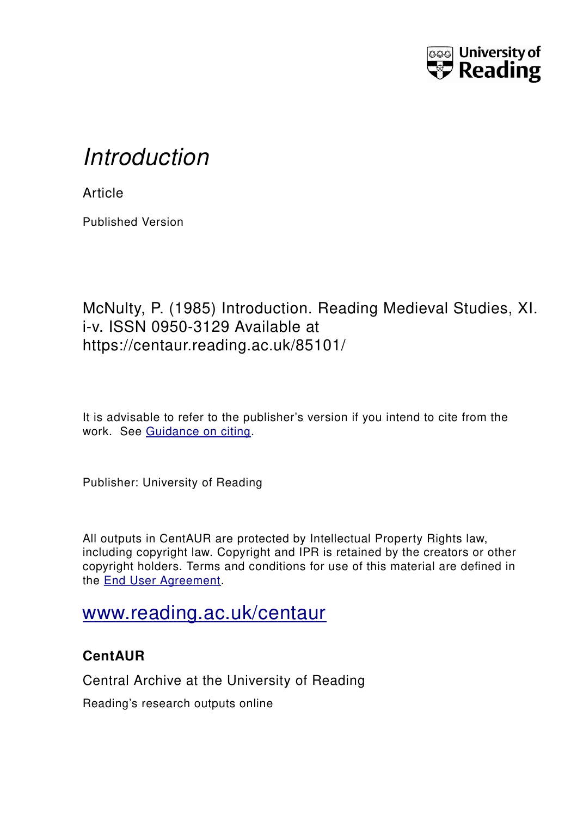

# *Introduction*

**Article** 

Published Version

## McNulty, P. (1985) Introduction. Reading Medieval Studies, XI. i-v. ISSN 0950-3129 Available at https://centaur.reading.ac.uk/85101/

It is advisable to refer to the publisher's version if you intend to cite from the work. See [Guidance on citing.](http://centaur.reading.ac.uk/71187/10/CentAUR%20citing%20guide.pdf)

Publisher: University of Reading

All outputs in CentAUR are protected by Intellectual Property Rights law, including copyright law. Copyright and IPR is retained by the creators or other copyright holders. Terms and conditions for use of this material are defined in the [End User Agreement.](http://centaur.reading.ac.uk/licence)

# [www.reading.ac.uk/centaur](http://www.reading.ac.uk/centaur)

### **CentAUR**

Central Archive at the University of Reading

Reading's research outputs online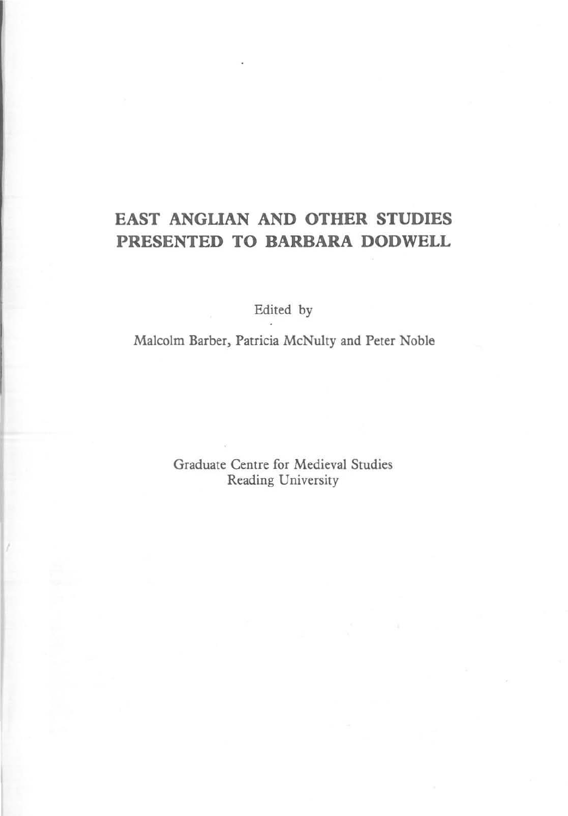### **EAST ANGLIAN AND OTHER STUDIES PRESENTED TO BARBARA DODWELL**

Edited by

Malcolm Barber, Patricia McNulty and Peter Noble

Graduate Centre for Medieval Studies Reading University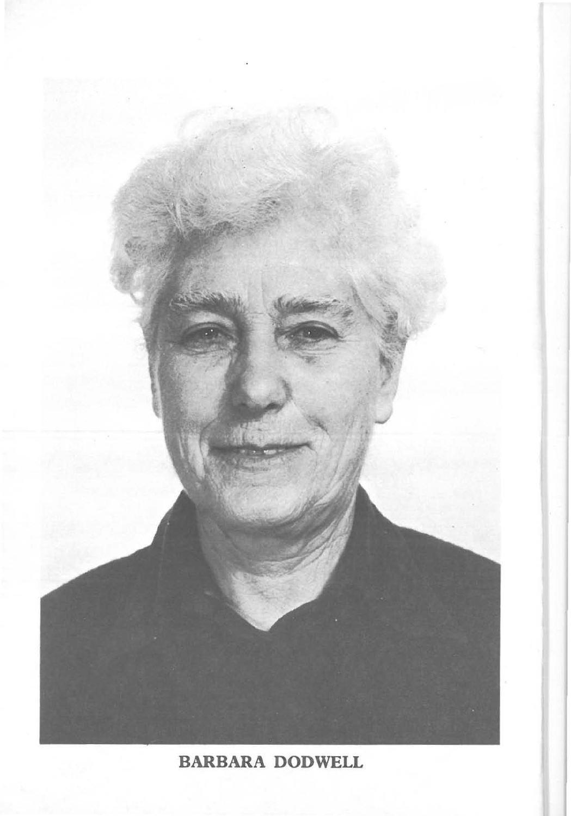

### BARBARA DODWELL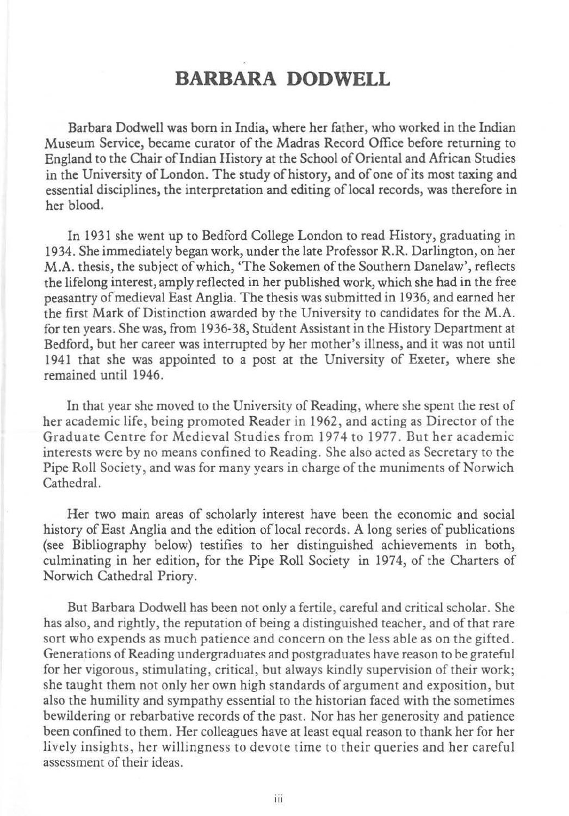#### **BARBARA DODWELL**

Barbara Dodwell was born in India, where her father, who worked in the Indian **Museum Service, became curator of the Madras Record Office before returning to**  England to the Chair of Indian History at the School of Oriental and African Studies in the University of London. The study of history, and of one of its most taxing and essential disciplines, the interpretation and editing of local records, was therefore in her blood.

In 1931 she went up to Bedford College London to read History, graduating in 1934. She immediately began work, under the late Professor R.R. Darlington, on her M.A. thesis, the subject of which, 'The Sokemen of the Southern Danelaw', reflects the lifelong interest, amply reflected in her published work, which she had in the free peasantry of medieval East Anglia. The thesis was submitted in 1936, and earned her the first Mark of Distinction awarded by the University to candidates for the M.A. for ten years. She was, from 1936-38, Student Assistant in the History Department at **Bedford, but her career was interrupted by her mother's illness, and it was not until**  1941 that she was appointed to a post at the University of Exeter, where she remained until 1946.

**In that year she moved to the University of Reading, where she spent the rest of her academic life , being promoted Reader in 1962 , and acting as Director of the**  Graduate Centre for Medieval Studies from 1974 to 1977. But her academic **interests were by no means confined to Reading. She also acted as Secretary to the**  Pipe Roll Society, and was for many years in charge of the muniments of Norwich Cathedral.

**Her two main areas of scholarly interest have been the economic and social**  history of East Anglia and the edition of local records. A long series of publications (see Bibliography below) testifies to her distinguished achievements in both, culminating in her edition, for the Pipe Roll Society in 1974, of the Charters of Norwich Cathedral Priory.

**But Barbara Dodwell has been not only a fertile, careful and critical scholar. She has also, and rightly, the reputation** of being **a distinguished teacher, and of that rare sort who expends as much patience and concern on the less able as on the gifted. Generations** of Reading **undergraduates and postgraduates have reason to** *be* **grateful for her vigorous, stimulating, critical, but always kindly supervision of their work; she taught them not only her own high standards of argument and exposition, but also the humility and sympathy essential to the historian faced with the sometimes bewildering or rebarbative records of the past. Nor has her generosity and patience been confined to them. Her colleagues have at least equal reason to thank her for her lively insights, her willingness to devote time to their queries and her careful assessment** of their **ideas.**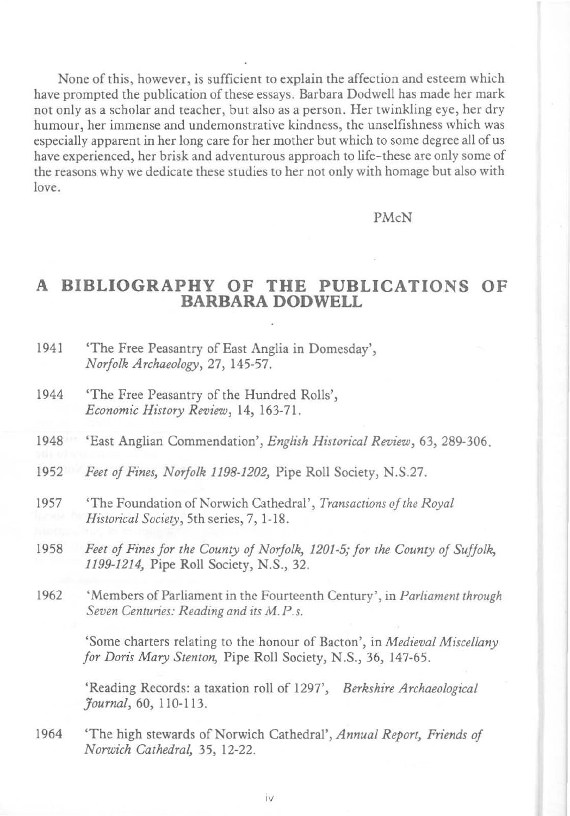None of this, however, is sufficient to explain the affection and esteem which **have prompted the publication of these essays. Barbara Dodwell has made her mark not only as a scholar and teacher, but also as a person. Her twinkling eye, her dry humour, her immense and undemonstrative kindness, the unselfishness which was especially apparent in her long care for her mother but which to some degree all** of us **have experienced, her brisk and adventurous approach to life-these are only some of the reasons why we dedicate these studies to her not only with homage but also with love.** 

#### PMcN

#### **A BIBLIOGRAPHY OF THE PUBLICATIONS OF BARBARA DODWELL**

- 1941 'The Free Peasantry of East Anglia in Domesday', *Norfolk Archaeology,* 27, 145-57\_
- 1944 'The Free Peasantry of the Hundred Rolls', *Economic History Review,* 14, 163-71.
- 1948 'East Anglian Commendation', *English Historical Review,* 63, 289-306.
- *1952 Feet of Fines, Norfolk 1198-1202,* Pipe Roll Society, N.S.27.
- 1957 'The Foundation of Norwich Cathedral', *Transactions of the Royal Historical Society,* **5th series, 7,1-18 .**
- *1958 Feet of Fines for the County of Norfolk, 1201-5; for the County of Suffolk,*  1199-1214, Pipe Roll Society, N.S., 32.
- **1962 'Members of Parliament in the Fourteenth Century' , in** *Parliament through Seven Centuries: Reading and its M.P.s.*

**'Some charters relating to the honour of Bacton', in** *Medieval Miscellany for Doris Mary Stenton,* Pipe Roll Society, N.S., 36, 147-65.

'Reading Records: a taxation roll of 1297', *Berkshire Archaeological Journal,* 60, llO-1l3.

1964 'The high stewards of Norwich Cathedral', *Annual Report, Friends of Norwich Cathedral,* 35, 12-22.